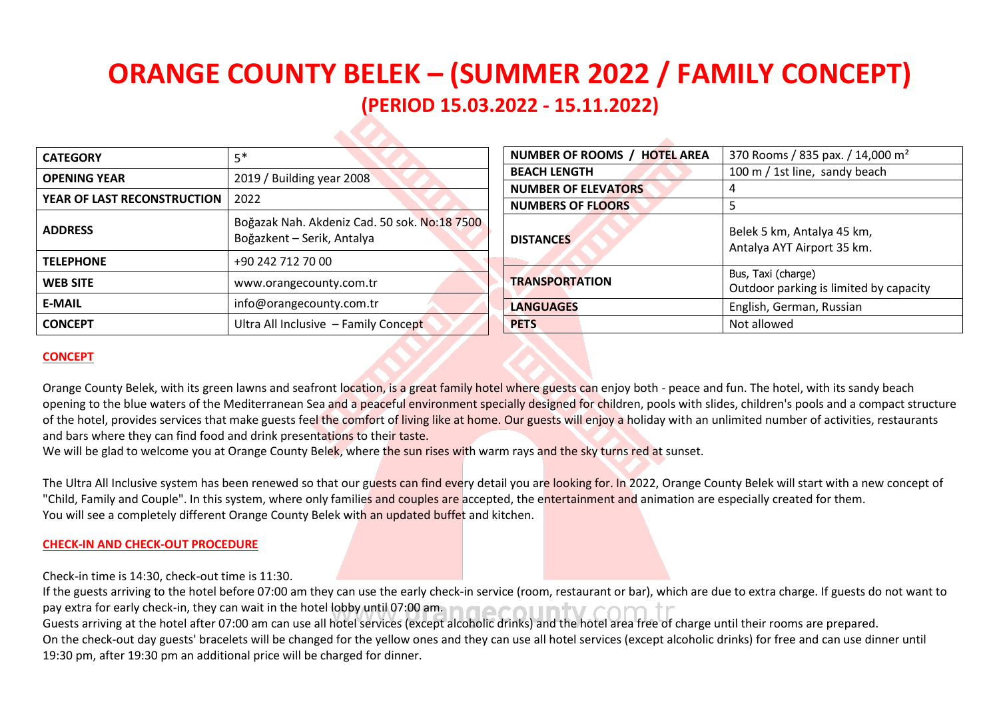# **ORANGE COUNTY BELEK – (SUMMER 2022 / FAMILY CONCEPT) (PERIOD 15.03.2022 - 15.11.2022)**

| <b>CATEGORY</b>             | $5*$                                                                       |  |  |
|-----------------------------|----------------------------------------------------------------------------|--|--|
| <b>OPENING YEAR</b>         | 2019 / Building year 2008                                                  |  |  |
| YEAR OF LAST RECONSTRUCTION | 2022                                                                       |  |  |
| <b>ADDRESS</b>              | Boğazak Nah. Akdeniz Cad. 50 sok. No:18 7500<br>Boğazkent - Serik, Antalya |  |  |
| <b>TELEPHONE</b>            | +90 242 712 70 00                                                          |  |  |
| <b>WEB SITE</b>             | www.orangecounty.com.tr                                                    |  |  |
| <b>E-MAIL</b>               | info@orangecounty.com.tr                                                   |  |  |
| <b>CONCEPT</b>              | Ultra All Inclusive - Family Concept                                       |  |  |

| NUMBER OF ROOMS / HOTEL AREA | 370 Rooms / 835 pax. / 14,000 m <sup>2</sup>                 |  |  |
|------------------------------|--------------------------------------------------------------|--|--|
| <b>BEACH LENGTH</b>          | 100 m / 1st line, sandy beach                                |  |  |
| <b>NUMBER OF ELEVATORS</b>   | 4                                                            |  |  |
| <b>NUMBERS OF FLOORS</b>     | 5                                                            |  |  |
| <b>DISTANCES</b>             | Belek 5 km, Antalya 45 km,<br>Antalya AYT Airport 35 km.     |  |  |
| <b>TRANSPORTATION</b>        | Bus, Taxi (charge)<br>Outdoor parking is limited by capacity |  |  |
| <b>LANGUAGES</b>             | English, German, Russian                                     |  |  |
| <b>PETS</b>                  | Not allowed                                                  |  |  |

 $\mathcal{L}_{\mathcal{N}}$ 

# **CONCEPT**

Orange County Belek, with its green lawns and seafront location, is a great family hotel where guests can enjoy both - peace and fun. The hotel, with its sandy beach opening to the blue waters of the Mediterranean Sea and a peaceful environment specially designed for children, pools with slides, children's pools and a compact structure of the hotel, provides services that make guests feel the comfort of living like at home. Our guests will enjoy a holiday with an unlimited number of activities, restaurants and bars where they can find food and drink presentations to their taste.

We will be glad to welcome you at Orange County Belek, where the sun rises with warm rays and the sky turns red at sunset.

The Ultra All Inclusive system has been renewed so that our guests can find every detail you are looking for. In 2022, Orange County Belek will start with a new concept of "Child, Family and Couple". In this system, where only families and couples are accepted, the entertainment and animation are especially created for them. You will see a completely different Orange County Belek with an updated buffet and kitchen.

## **CHECK-IN AND CHECK-OUT PROCEDURE**

Check-in time is 14:30, check-out time is 11:30.

If the guests arriving to the hotel before 07:00 am they can use the early check-in service (room, restaurant or bar), which are due to extra charge. If guests do not want to pay extra for early check-in, they can wait in the hotel lobby until 07:00 am. In  $\bigcap_{i=1}^{\infty}$  and III  $\bigcap_{i=1}^{\infty}$ Guests arriving at the hotel after 07:00 am can use all hotel services (except alcoholic drinks) and the hotel area free of charge until their rooms are prepared. On the check-out day guests' bracelets will be changed for the yellow ones and they can use all hotel services (except alcoholic drinks) for free and can use dinner until 19:30 pm, after 19:30 pm an additional price will be charged for dinner.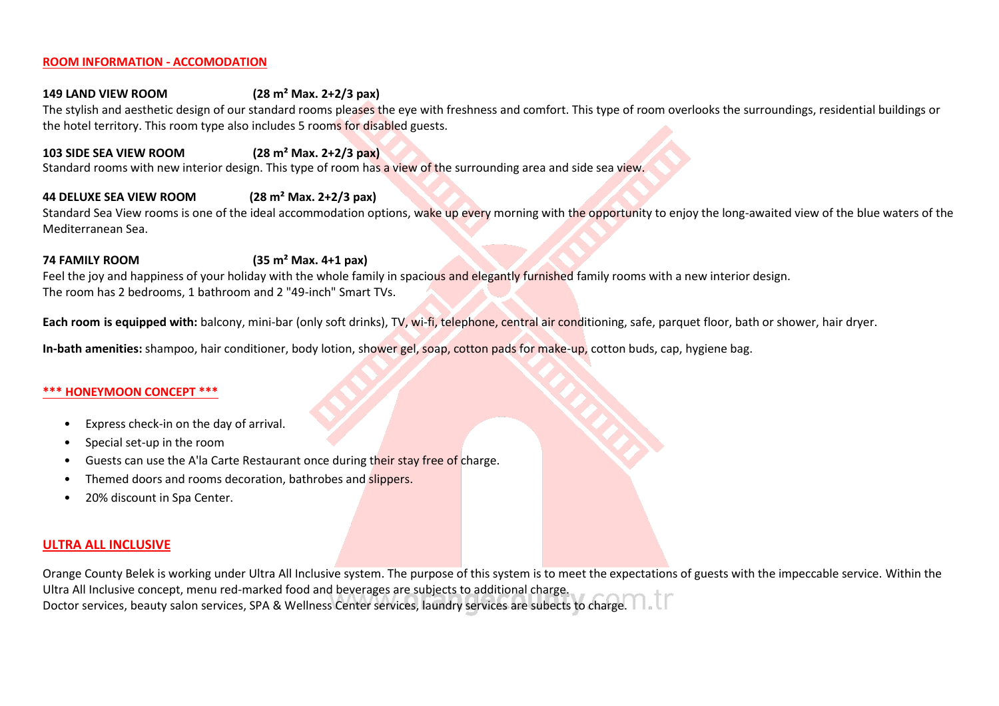### **ROOM INFORMATION - ACCOMODATION**

## **149 LAND VIEW ROOM (28 m² Маx. 2+2/3 pax)**

The stylish and aesthetic design of our standard rooms pleases the eye with freshness and comfort. This type of room overlooks the surroundings, residential buildings or the hotel territory. This room type also includes 5 rooms for disabled guests.

## **103 SIDE SEA VIEW ROOM (28 m² Маx. 2+2/3 pax)**

Standard rooms with new interior design. This type of room has a view of the surrounding area and side sea view.

# **44 DELUXE SEA VIEW ROOM (28 m² Маx. 2+2/3 pax)**

Standard Sea View rooms is one of the ideal accommodation options, wake up every morning with the opportunity to enjoy the long-awaited view of the blue waters of the Mediterranean Sea.

## **74 FAMILY ROOM (35 m² Маx. 4+1 pax)**

Feel the joy and happiness of your holiday with the whole family in spacious and elegantly furnished family rooms with a new interior design. The room has 2 bedrooms, 1 bathroom and 2 "49-inch" Smart TVs.

**Each room is equipped with:** balcony, mini-bar (only soft drinks), TV, wi-fi, telephone, central air conditioning, safe, parquet floor, bath or shower, hair dryer.

**In-bath amenities:** shampoo, hair conditioner, body lotion, shower gel, soap, cotton pads for make-up, cotton buds, cap, hygiene bag.

### **\*\*\* HONEYMOON CONCEPT \*\*\***

- Express check-in on the day of arrival.
- Special set-up in the room
- Guests can use the A'la Carte Restaurant once during their stay free of charge.
- Themed doors and rooms decoration, bathrobes and slippers.
- 20% discount in Spa Center.

# **ULTRA ALL INCLUSIVE**

Orange County Belek is working under Ultra All Inclusive system. The purpose of this system is to meet the expectations of guests with the impeccable service. Within the Ultra All Inclusive concept, menu red-marked food and beverages are subjects to additional charge. Doctor services, beauty salon services, SPA & Wellness Center services, laundry services are subects to charge.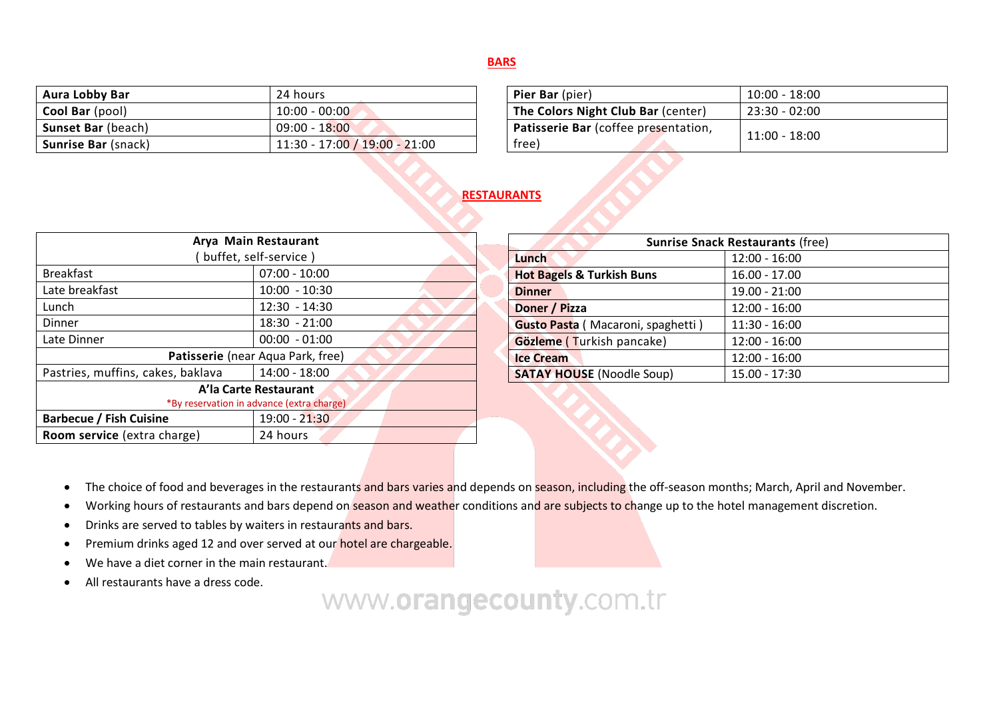# **BARS**

| <b>Aura Lobby Bar</b>      | 24 hours                        |  |  |
|----------------------------|---------------------------------|--|--|
| <b>Cool Bar</b> (pool)     | $10:00 - 00:00$                 |  |  |
| <b>Sunset Bar (beach)</b>  | $09:00 - 18:00$                 |  |  |
| <b>Sunrise Bar (snack)</b> | $11:30 - 17:00 / 19:00 - 21:00$ |  |  |

| Pier Bar (pier)                               | $10:00 - 18:00$ |
|-----------------------------------------------|-----------------|
| The Colors Night Club Bar (center)            | $23:30 - 02:00$ |
| Patisserie Bar (coffee presentation,<br>free) | $11:00 - 18:00$ |

# **RESTAURANTS**

| Arya Main Restaurant                      |                 |  |  |
|-------------------------------------------|-----------------|--|--|
| buffet, self-service)                     |                 |  |  |
| <b>Breakfast</b>                          | $07:00 - 10:00$ |  |  |
| Late breakfast                            | $10:00 - 10:30$ |  |  |
| Lunch                                     | $12:30 - 14:30$ |  |  |
| Dinner                                    | $18:30 - 21:00$ |  |  |
| Late Dinner                               | $00:00 - 01:00$ |  |  |
| Patisserie (near Aqua Park, free)         |                 |  |  |
| Pastries, muffins, cakes, baklava         | 14:00 - 18:00   |  |  |
| A'la Carte Restaurant                     |                 |  |  |
| *By reservation in advance (extra charge) |                 |  |  |
| <b>Barbecue / Fish Cuisine</b>            | 19:00 - 21:30   |  |  |
| Room service (extra charge)               | 24 hours        |  |  |

| <b>Sunrise Snack Restaurants (free)</b> |                 |  |  |
|-----------------------------------------|-----------------|--|--|
| Lunch                                   | $12:00 - 16:00$ |  |  |
| <b>Hot Bagels &amp; Turkish Buns</b>    | 16.00 - 17.00   |  |  |
| <b>Dinner</b>                           | 19.00 - 21:00   |  |  |
| Doner / Pizza                           | $12:00 - 16:00$ |  |  |
| Gusto Pasta (Macaroni, spaghetti)       | $11:30 - 16:00$ |  |  |
| Gözleme (Turkish pancake)               | $12:00 - 16:00$ |  |  |
| <b>Ice Cream</b>                        | $12:00 - 16:00$ |  |  |
| <b>SATAY HOUSE</b> (Noodle Soup)        | 15.00 - 17:30   |  |  |

- The choice of food and beverages in the restaurants and bars varies and depends on season, including the off-season months; March, April and November.
- Working hours of restaurants and bars depend on season and weather conditions and are subjects to change up to the hotel management discretion.
- Drinks are served to tables by waiters in restaurants and bars.
- Premium drinks aged 12 and over served at our **hotel are chargeable.**
- We have a diet corner in the main restaurant.
- All restaurants have a dress code.

# www.orangecounty.com.tr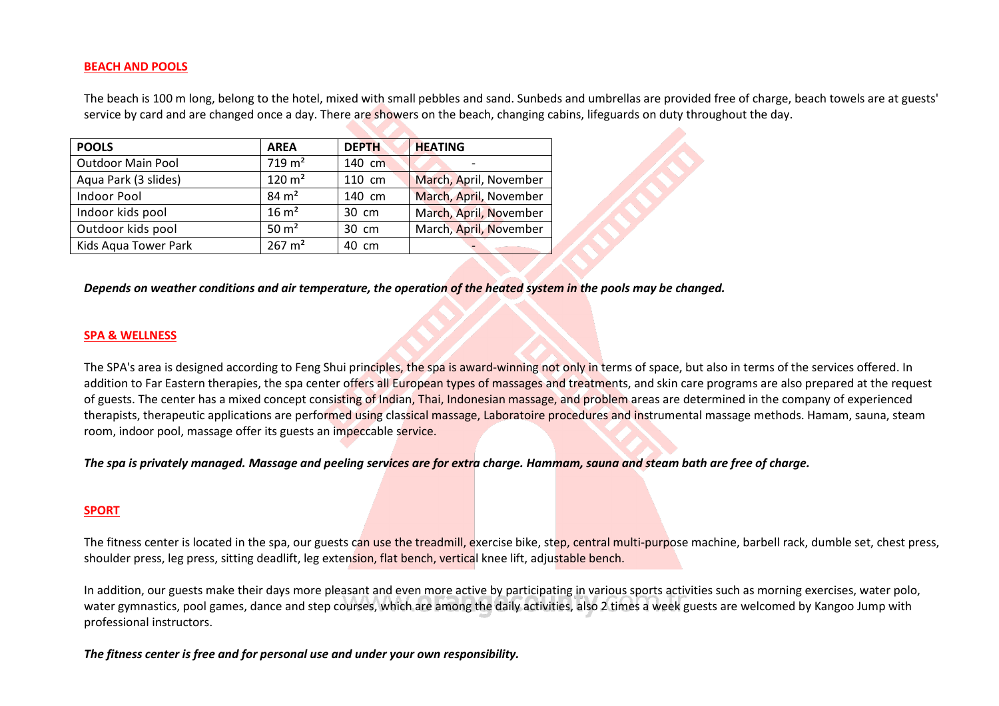## **BEACH AND POOLS**

The beach is 100 m long, belong to the hotel, mixed with small pebbles and sand. Sunbeds and umbrellas are provided free of charge, beach towels are at guests' service by card and are changed once a day. There are showers on the beach, changing cabins, lifeguards on duty throughout the day.

| <b>POOLS</b>             | <b>AREA</b>       | <b>DEPTH</b>    | <b>HEATING</b>         |
|--------------------------|-------------------|-----------------|------------------------|
|                          |                   |                 |                        |
| <b>Outdoor Main Pool</b> | $719 \text{ m}^2$ | 140 cm          |                        |
| Aqua Park (3 slides)     | $120 \text{ m}^2$ | 110 cm          | March, April, November |
| <b>Indoor Pool</b>       | $84 \text{ m}^2$  | 140 cm          | March, April, November |
| Indoor kids pool         | $16 \text{ m}^2$  | 30 cm           | March, April, November |
| Outdoor kids pool        | $50 \text{ m}^2$  | $30 \text{ cm}$ | March, April, November |
| Kids Aqua Tower Park     | $267 \text{ m}^2$ | 40 cm           |                        |

*Depends on weather conditions and air temperature, the operation of the heated system in the pools may be changed.*

### **SPA & WELLNESS**

The SPA's area is designed according to Feng Shui principles, the spa is award-winning not only in terms of space, but also in terms of the services offered. In addition to Far Eastern therapies, the spa center offers all European types of massages and treatments, and skin care programs are also prepared at the request of guests. The center has a mixed concept consisting of Indian, Thai, Indonesian massage, and problem areas are determined in the company of experienced therapists, therapeutic applications are performed using classical massage, Laboratoire procedures and instrumental massage methods. Hamam, sauna, steam room, indoor pool, massage offer its guests an impeccable service.

*The spa is privately managed. Massage and peeling services are for extra charge. Hammam, sauna and steam bath are free of charge.*

### **SPORT**

The fitness center is located in the spa, our guests can use the treadmill, exercise bike, step, central multi-purpose machine, barbell rack, dumble set, chest press, shoulder press, leg press, sitting deadlift, leg extension, flat bench, vertical knee lift, adjustable bench.

In addition, our guests make their days more pleasant and even more active by participating in various sports activities such as morning exercises, water polo, water gymnastics, pool games, dance and step courses, which are among the daily activities, also 2 times a week guests are welcomed by Kangoo Jump with professional instructors.

*The fitness center is free and for personal use and under your own responsibility.*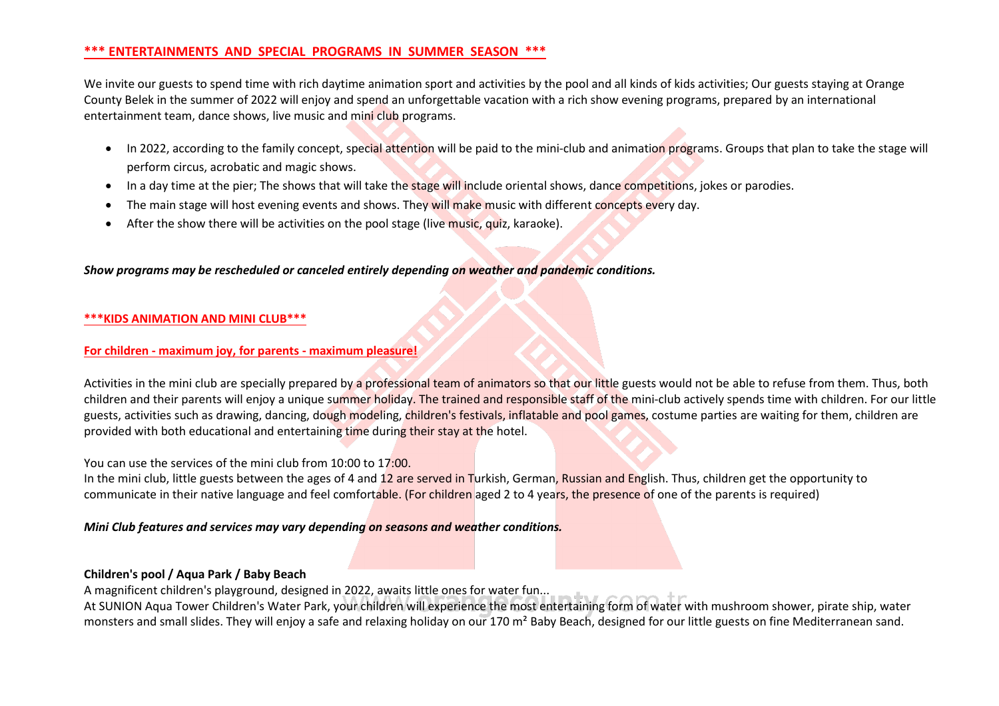# **\*\*\* ENTERTAINMENTS AND SPECIAL PROGRAMS IN SUMMER SEASON \*\*\***

We invite our guests to spend time with rich daytime animation sport and activities by the pool and all kinds of kids activities; Our guests staying at Orange County Belek in the summer of 2022 will enjoy and spend an unforgettable vacation with a rich show evening programs, prepared by an international entertainment team, dance shows, live music and mini club programs.

- In 2022, according to the family concept, special attention will be paid to the mini-club and animation programs. Groups that plan to take the stage will perform circus, acrobatic and magic shows.
- In a day time at the pier; The shows that will take the stage will include oriental shows, dance competitions, jokes or parodies.
- The main stage will host evening events and shows. They will make music with different concepts every day.
- After the show there will be activities on the pool stage (live music, quiz, karaoke).

## *Show programs may be rescheduled or canceled entirely depending on weather and pandemic conditions.*

### **\*\*\*KIDS ANIMATION AND MINI CLUB\*\*\***

#### **For children - maximum joy, for parents - maximum pleasure!**

Activities in the mini club are specially prepared by a professional team of animators so that our little guests would not be able to refuse from them. Thus, both children and their parents will enjoy a unique summer holiday. The trained and responsible staff of the mini-club actively spends time with children. For our little guests, activities such as drawing, dancing, dough modeling, children's festivals, inflatable and pool games, costume parties are waiting for them, children are provided with both educational and entertaining time during their stay at the hotel.

### You can use the services of the mini club from 10:00 to 17:00.

In the mini club, little guests between the ages of 4 and 12 are served in Turkish, German, Russian and English, Thus, children get the opportunity to communicate in their native language and feel comfortable. (For children aged 2 to 4 years, the presence of one of the parents is required)

### *Mini Club features and services may vary depending on seasons and weather conditions.*

## **Children's pool / Aqua Park / Baby Beach**

A magnificent children's playground, designed in 2022, awaits little ones for water fun...

At SUNION Aqua Tower Children's Water Park, your children will experience the most entertaining form of water with mushroom shower, pirate ship, water monsters and small slides. They will enjoy a safe and relaxing holiday on our 170 m<sup>2</sup> Baby Beach, designed for our little guests on fine Mediterranean sand.